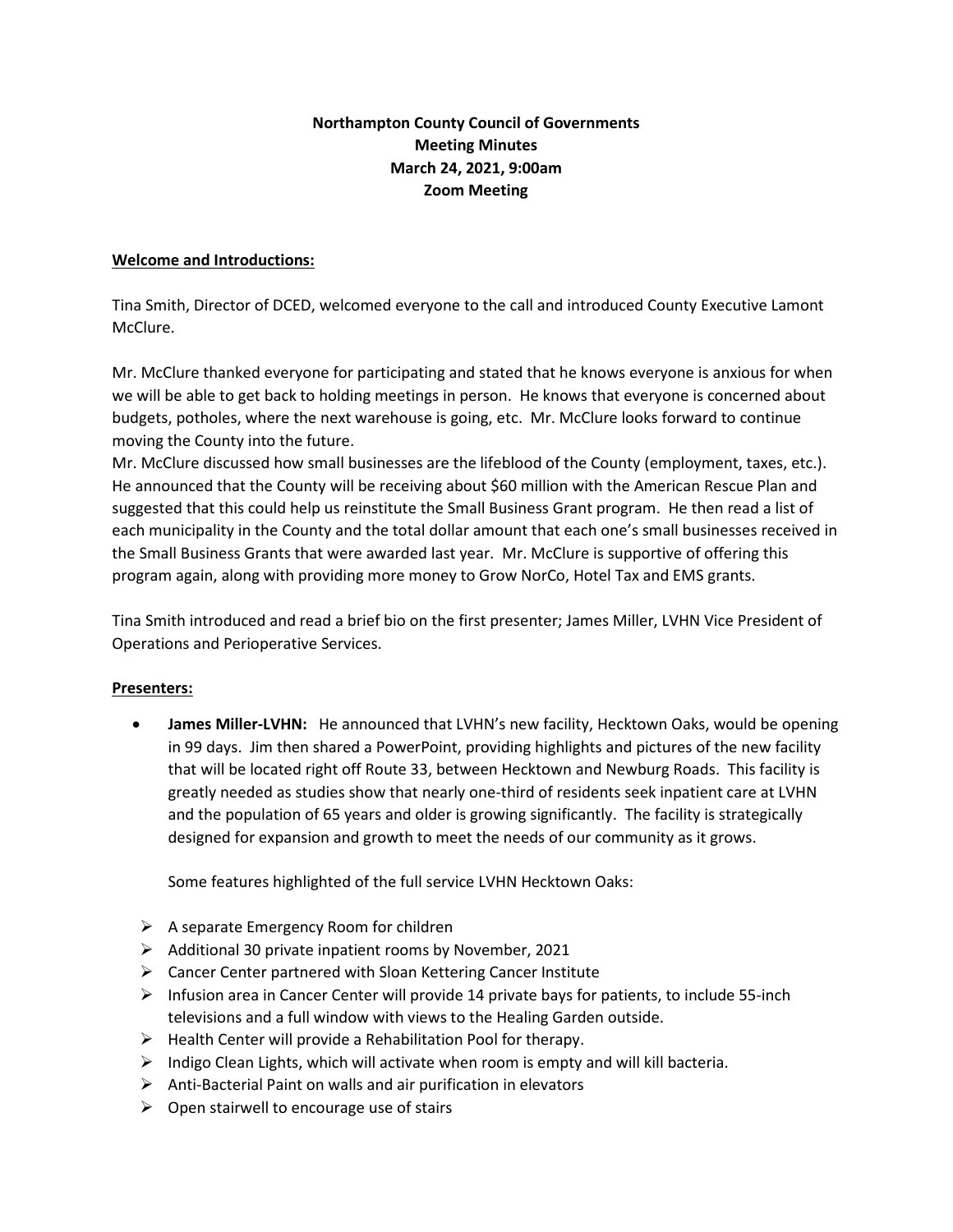# **Northampton County Council of Governments Meeting Minutes March 24, 2021, 9:00am Zoom Meeting**

#### **Welcome and Introductions:**

Tina Smith, Director of DCED, welcomed everyone to the call and introduced County Executive Lamont McClure.

Mr. McClure thanked everyone for participating and stated that he knows everyone is anxious for when we will be able to get back to holding meetings in person. He knows that everyone is concerned about budgets, potholes, where the next warehouse is going, etc. Mr. McClure looks forward to continue moving the County into the future.

Mr. McClure discussed how small businesses are the lifeblood of the County (employment, taxes, etc.). He announced that the County will be receiving about \$60 million with the American Rescue Plan and suggested that this could help us reinstitute the Small Business Grant program. He then read a list of each municipality in the County and the total dollar amount that each one's small businesses received in the Small Business Grants that were awarded last year. Mr. McClure is supportive of offering this program again, along with providing more money to Grow NorCo, Hotel Tax and EMS grants.

Tina Smith introduced and read a brief bio on the first presenter; James Miller, LVHN Vice President of Operations and Perioperative Services.

## **Presenters:**

• **James Miller-LVHN:** He announced that LVHN's new facility, Hecktown Oaks, would be opening in 99 days. Jim then shared a PowerPoint, providing highlights and pictures of the new facility that will be located right off Route 33, between Hecktown and Newburg Roads. This facility is greatly needed as studies show that nearly one-third of residents seek inpatient care at LVHN and the population of 65 years and older is growing significantly. The facility is strategically designed for expansion and growth to meet the needs of our community as it grows.

Some features highlighted of the full service LVHN Hecktown Oaks:

- $\triangleright$  A separate Emergency Room for children
- $\triangleright$  Additional 30 private inpatient rooms by November, 2021
- $\triangleright$  Cancer Center partnered with Sloan Kettering Cancer Institute
- $\triangleright$  Infusion area in Cancer Center will provide 14 private bays for patients, to include 55-inch televisions and a full window with views to the Healing Garden outside.
- $\triangleright$  Health Center will provide a Rehabilitation Pool for therapy.
- $\triangleright$  Indigo Clean Lights, which will activate when room is empty and will kill bacteria.
- $\triangleright$  Anti-Bacterial Paint on walls and air purification in elevators
- $\triangleright$  Open stairwell to encourage use of stairs